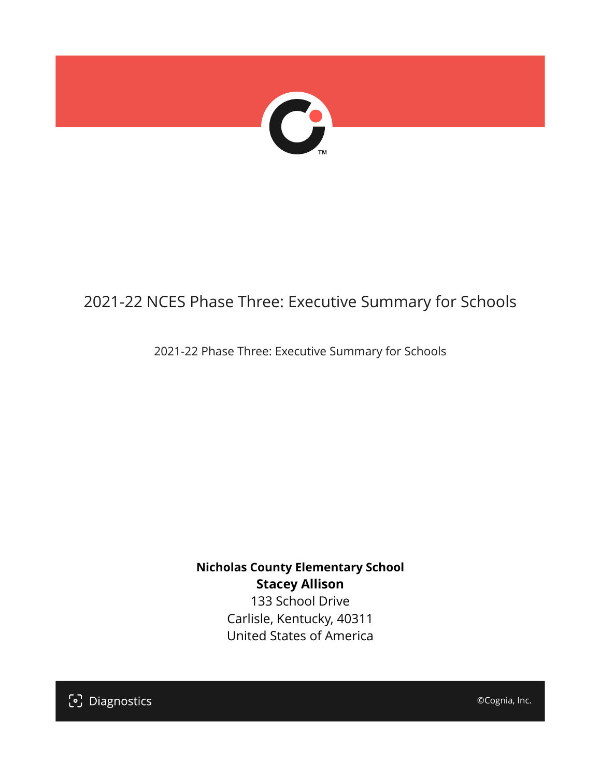

## 2021-22 NCES Phase Three: Executive Summary for Schools

2021-22 Phase Three: Executive Summary for Schools

**Nicholas County Elementary School Stacey Allison** 133 School Drive

Carlisle, Kentucky, 40311 United States of America

[၁] Diagnostics

©Cognia, Inc.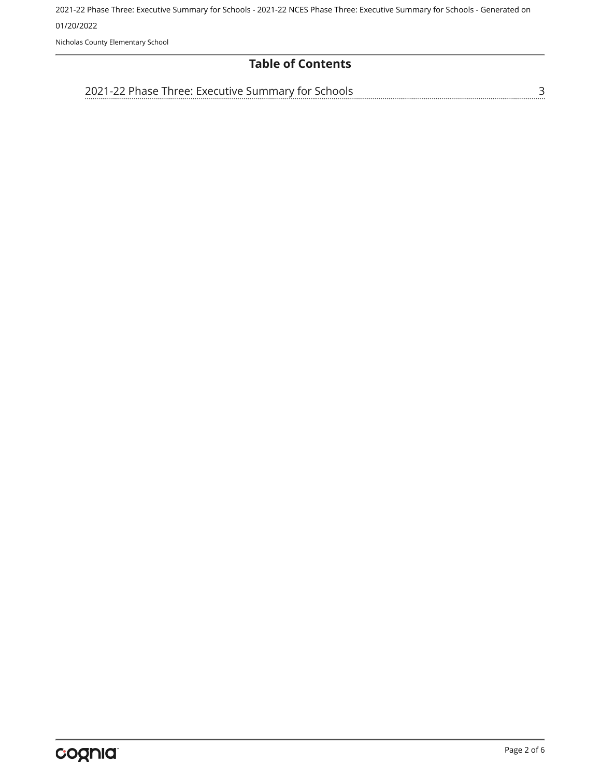Nicholas County Elementary School

#### **Table of Contents**

[3](#page-2-0)

[2021-22 Phase Three: Executive Summary for Schools](#page-2-0)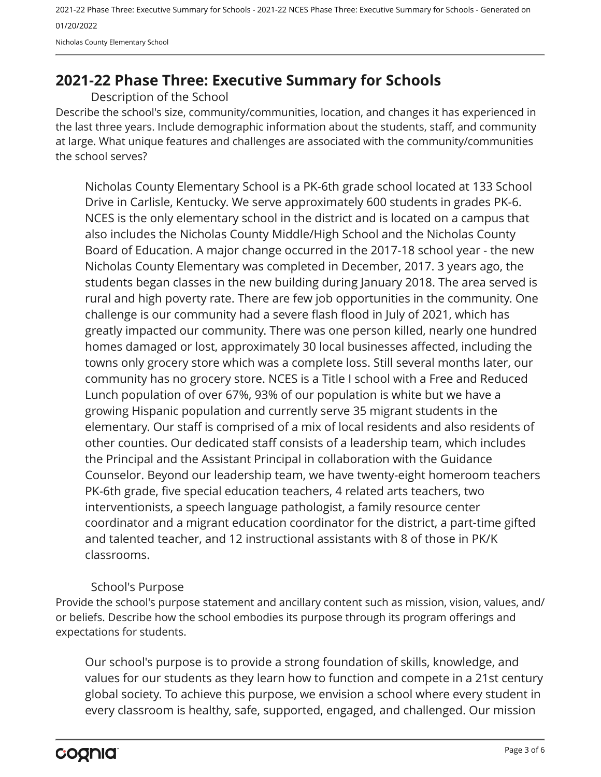2021-22 Phase Three: Executive Summary for Schools - 2021-22 NCES Phase Three: Executive Summary for Schools - Generated on 01/20/2022 Nicholas County Elementary School

### <span id="page-2-0"></span>**2021-22 Phase Three: Executive Summary for Schools**

Description of the School

Describe the school's size, community/communities, location, and changes it has experienced in the last three years. Include demographic information about the students, staff, and community at large. What unique features and challenges are associated with the community/communities the school serves?

Nicholas County Elementary School is a PK-6th grade school located at 133 School Drive in Carlisle, Kentucky. We serve approximately 600 students in grades PK-6. NCES is the only elementary school in the district and is located on a campus that also includes the Nicholas County Middle/High School and the Nicholas County Board of Education. A major change occurred in the 2017-18 school year - the new Nicholas County Elementary was completed in December, 2017. 3 years ago, the students began classes in the new building during January 2018. The area served is rural and high poverty rate. There are few job opportunities in the community. One challenge is our community had a severe flash flood in July of 2021, which has greatly impacted our community. There was one person killed, nearly one hundred homes damaged or lost, approximately 30 local businesses affected, including the towns only grocery store which was a complete loss. Still several months later, our community has no grocery store. NCES is a Title I school with a Free and Reduced Lunch population of over 67%, 93% of our population is white but we have a growing Hispanic population and currently serve 35 migrant students in the elementary. Our staff is comprised of a mix of local residents and also residents of other counties. Our dedicated staff consists of a leadership team, which includes the Principal and the Assistant Principal in collaboration with the Guidance Counselor. Beyond our leadership team, we have twenty-eight homeroom teachers PK-6th grade, five special education teachers, 4 related arts teachers, two interventionists, a speech language pathologist, a family resource center coordinator and a migrant education coordinator for the district, a part-time gifted and talented teacher, and 12 instructional assistants with 8 of those in PK/K classrooms.

#### School's Purpose

Provide the school's purpose statement and ancillary content such as mission, vision, values, and/ or beliefs. Describe how the school embodies its purpose through its program offerings and expectations for students.

Our school's purpose is to provide a strong foundation of skills, knowledge, and values for our students as they learn how to function and compete in a 21st century global society. To achieve this purpose, we envision a school where every student in every classroom is healthy, safe, supported, engaged, and challenged. Our mission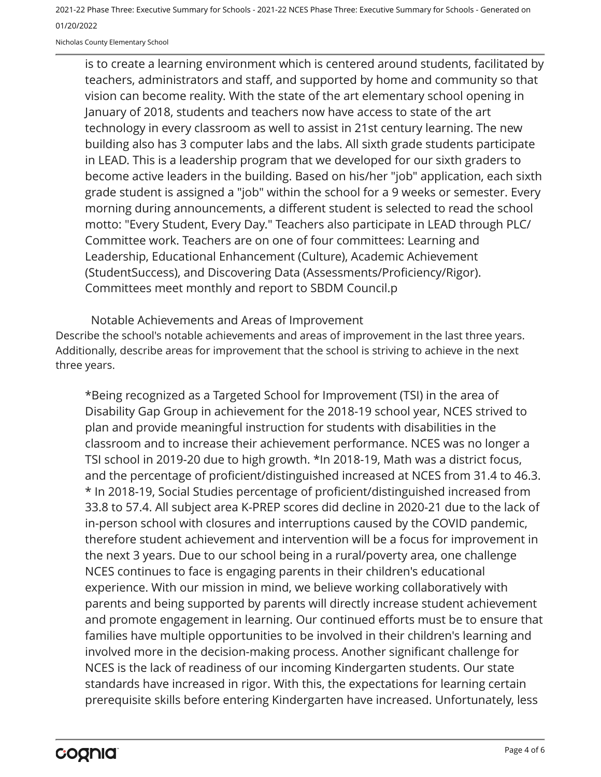Nicholas County Elementary School

is to create a learning environment which is centered around students, facilitated by teachers, administrators and staff, and supported by home and community so that vision can become reality. With the state of the art elementary school opening in January of 2018, students and teachers now have access to state of the art technology in every classroom as well to assist in 21st century learning. The new building also has 3 computer labs and the labs. All sixth grade students participate in LEAD. This is a leadership program that we developed for our sixth graders to become active leaders in the building. Based on his/her "job" application, each sixth grade student is assigned a "job" within the school for a 9 weeks or semester. Every morning during announcements, a different student is selected to read the school motto: "Every Student, Every Day." Teachers also participate in LEAD through PLC/ Committee work. Teachers are on one of four committees: Learning and Leadership, Educational Enhancement (Culture), Academic Achievement (StudentSuccess), and Discovering Data (Assessments/Proficiency/Rigor). Committees meet monthly and report to SBDM Council.p

Describe the school's notable achievements and areas of improvement in the last three years. Additionally, describe areas for improvement that the school is striving to achieve in the next three years. Notable Achievements and Areas of Improvement

\*Being recognized as a Targeted School for Improvement (TSI) in the area of Disability Gap Group in achievement for the 2018-19 school year, NCES strived to plan and provide meaningful instruction for students with disabilities in the classroom and to increase their achievement performance. NCES was no longer a TSI school in 2019-20 due to high growth. \*In 2018-19, Math was a district focus, and the percentage of proficient/distinguished increased at NCES from 31.4 to 46.3. \* In 2018-19, Social Studies percentage of proficient/distinguished increased from 33.8 to 57.4. All subject area K-PREP scores did decline in 2020-21 due to the lack of in-person school with closures and interruptions caused by the COVID pandemic, therefore student achievement and intervention will be a focus for improvement in the next 3 years. Due to our school being in a rural/poverty area, one challenge NCES continues to face is engaging parents in their children's educational experience. With our mission in mind, we believe working collaboratively with parents and being supported by parents will directly increase student achievement and promote engagement in learning. Our continued efforts must be to ensure that families have multiple opportunities to be involved in their children's learning and involved more in the decision-making process. Another significant challenge for NCES is the lack of readiness of our incoming Kindergarten students. Our state standards have increased in rigor. With this, the expectations for learning certain prerequisite skills before entering Kindergarten have increased. Unfortunately, less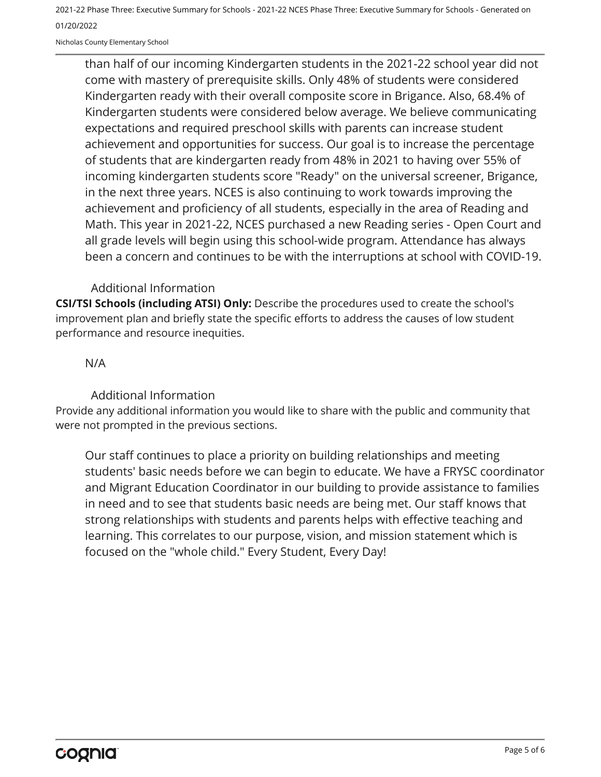Nicholas County Elementary School

than half of our incoming Kindergarten students in the 2021-22 school year did not come with mastery of prerequisite skills. Only 48% of students were considered Kindergarten ready with their overall composite score in Brigance. Also, 68.4% of Kindergarten students were considered below average. We believe communicating expectations and required preschool skills with parents can increase student achievement and opportunities for success. Our goal is to increase the percentage of students that are kindergarten ready from 48% in 2021 to having over 55% of incoming kindergarten students score "Ready" on the universal screener, Brigance, in the next three years. NCES is also continuing to work towards improving the achievement and proficiency of all students, especially in the area of Reading and Math. This year in 2021-22, NCES purchased a new Reading series - Open Court and all grade levels will begin using this school-wide program. Attendance has always been a concern and continues to be with the interruptions at school with COVID-19.

#### Additional Information

**CSI/TSI Schools (including ATSI) Only:** Describe the procedures used to create the school's improvement plan and briefly state the specific efforts to address the causes of low student performance and resource inequities.

#### N/A

Additional Information

Provide any additional information you would like to share with the public and community that were not prompted in the previous sections.

Our staff continues to place a priority on building relationships and meeting students' basic needs before we can begin to educate. We have a FRYSC coordinator and Migrant Education Coordinator in our building to provide assistance to families in need and to see that students basic needs are being met. Our staff knows that strong relationships with students and parents helps with effective teaching and learning. This correlates to our purpose, vision, and mission statement which is focused on the "whole child." Every Student, Every Day!